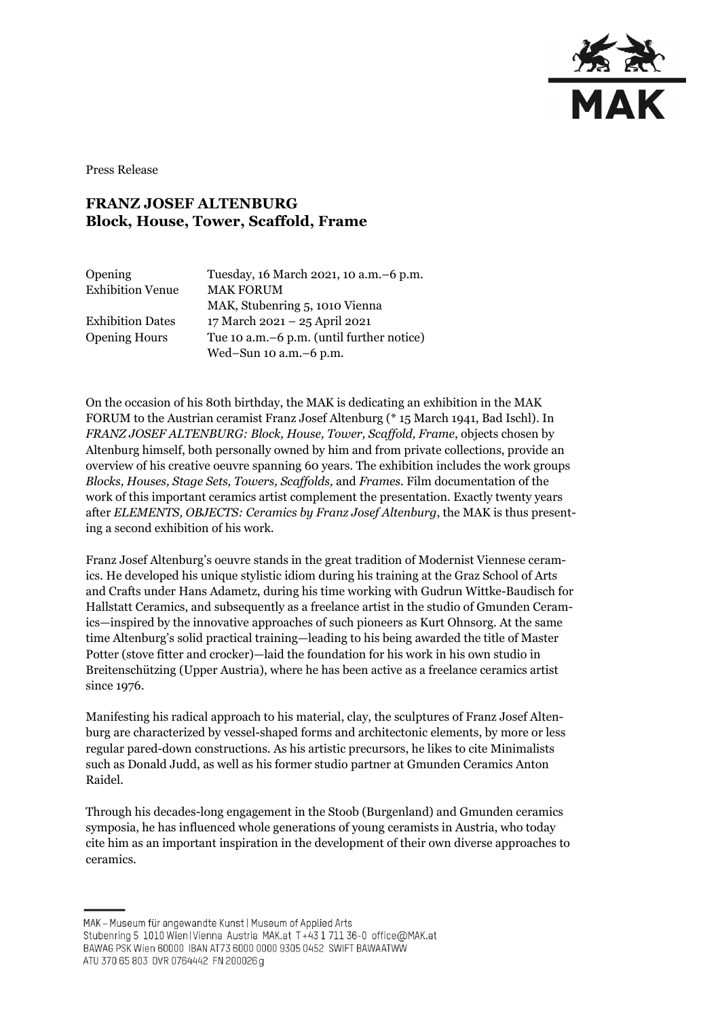

Press Release

## **FRANZ JOSEF ALTENBURG Block, House, Tower, Scaffold, Frame**

| Opening                 | Tuesday, 16 March 2021, 10 a.m. - 6 p.m.    |
|-------------------------|---------------------------------------------|
| <b>Exhibition Venue</b> | <b>MAK FORUM</b>                            |
|                         | MAK, Stubenring 5, 1010 Vienna              |
| <b>Exhibition Dates</b> | 17 March 2021 - 25 April 2021               |
| <b>Opening Hours</b>    | Tue 10 a.m. – 6 p.m. (until further notice) |
|                         | Wed-Sun $10$ a.m. $-6$ p.m.                 |

On the occasion of his 80th birthday, the MAK is dedicating an exhibition in the MAK FORUM to the Austrian ceramist Franz Josef Altenburg (\* 15 March 1941, Bad Ischl). In *FRANZ JOSEF ALTENBURG: Block, House, Tower, Scaffold, Frame*, objects chosen by Altenburg himself, both personally owned by him and from private collections, provide an overview of his creative oeuvre spanning 60 years. The exhibition includes the work groups *Blocks, Houses, Stage Sets, Towers, Scaffolds,* and *Frames.* Film documentation of the work of this important ceramics artist complement the presentation. Exactly twenty years after *ELEMENTS, OBJECTS: Ceramics by Franz Josef Altenburg*, the MAK is thus presenting a second exhibition of his work.

Franz Josef Altenburg's oeuvre stands in the great tradition of Modernist Viennese ceramics. He developed his unique stylistic idiom during his training at the Graz School of Arts and Crafts under Hans Adametz, during his time working with Gudrun Wittke-Baudisch for Hallstatt Ceramics, and subsequently as a freelance artist in the studio of Gmunden Ceramics—inspired by the innovative approaches of such pioneers as Kurt Ohnsorg. At the same time Altenburg's solid practical training—leading to his being awarded the title of Master Potter (stove fitter and crocker)—laid the foundation for his work in his own studio in Breitenschützing (Upper Austria), where he has been active as a freelance ceramics artist since 1976.

Manifesting his radical approach to his material, clay, the sculptures of Franz Josef Altenburg are characterized by vessel-shaped forms and architectonic elements, by more or less regular pared-down constructions. As his artistic precursors, he likes to cite Minimalists such as Donald Judd, as well as his former studio partner at Gmunden Ceramics Anton Raidel.

Through his decades-long engagement in the Stoob (Burgenland) and Gmunden ceramics symposia, he has influenced whole generations of young ceramists in Austria, who today cite him as an important inspiration in the development of their own diverse approaches to ceramics.

MAK - Museum für angewandte Kunst | Museum of Applied Arts

Stubenring 5 1010 Wien | Vienna Austria MAK.at T+43 1 711 36-0 office@MAK.at

BAWAG PSK Wien 60000 IBAN AT73 6000 0000 9305 0452 SWIFT BAWAATWW ATU 370 65 803 DVR 0764442 FN 200026 g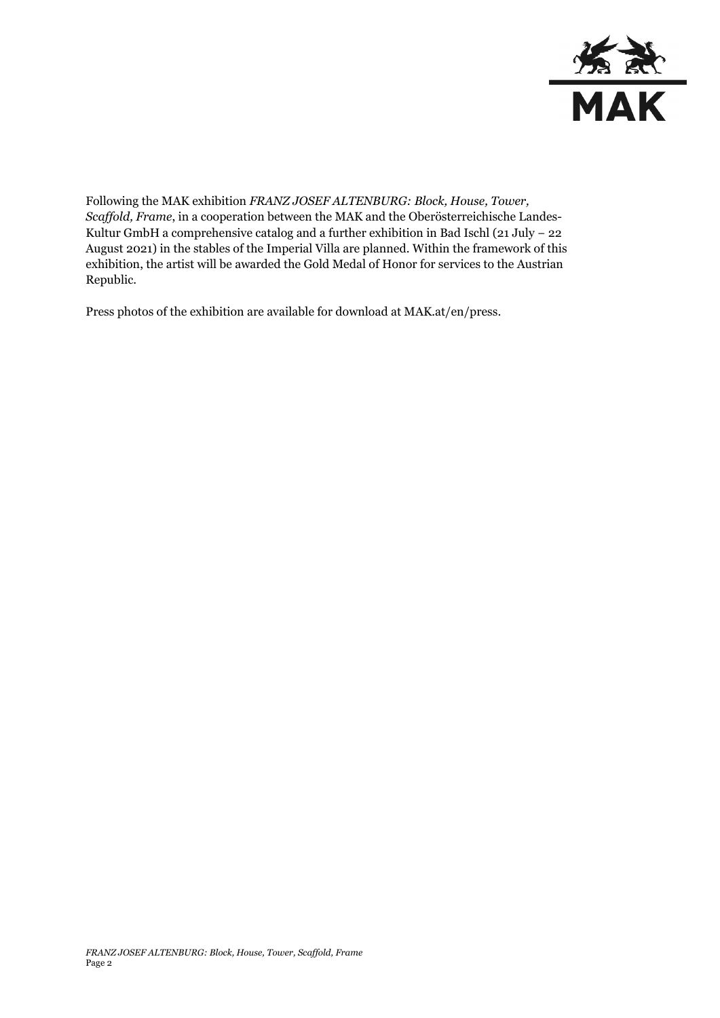

Following the MAK exhibition *FRANZ JOSEF ALTENBURG: Block, House, Tower, Scaffold, Frame*, in a cooperation between the MAK and the Oberösterreichische Landes-Kultur GmbH a comprehensive catalog and a further exhibition in Bad Ischl (21 July − 22 August 2021) in the stables of the Imperial Villa are planned. Within the framework of this exhibition, the artist will be awarded the Gold Medal of Honor for services to the Austrian Republic.

Press photos of the exhibition are available for download at MAK.at/en/press.